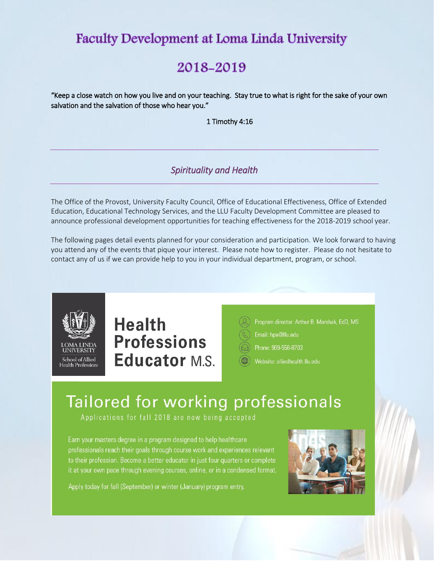## **Faculty Development at Loma Linda University**

## 2018-2019

"Keep a close watch on how you live and on your teaching. Stay true to what is right for the sake of your own salvation and the salvation of those who hear you."

1 Timothy 4:16

## *Spirituality and Health*

The Office of the Provost, University Faculty Council, Office of Educational Effectiveness, Office of Extended Education, Educational Technology Services, and the LLU Faculty Development Committee are pleased to announce professional development opportunities for teaching effectiveness for the 2018-2019 school year.

The following pages detail events planned for your consideration and participation. We look forward to having you attend any of the events that pique your interest. Please note how to register. Please do not hesitate to contact any of us if we can provide help to you in your individual department, program, or school.



# **Health Professions Educator M.S.**



- Program director: Arthur B. Marshak, EdD, MS
- Email: hpe@llu.edu
- Phone: 909-558-8703
- Website: alliedhealth.llu.edu

# Tailored for working professionals

Applications for fall 2018 are now being accepted

Earn your masters degree in a program designed to help healthcare professionals reach their goals through course work and experiences relevant to their profession. Become a better educator in just four quarters or complete it at your own pace through evening courses, online, or in a condensed format.



Apply today for fall (September) or winter (January) program entry.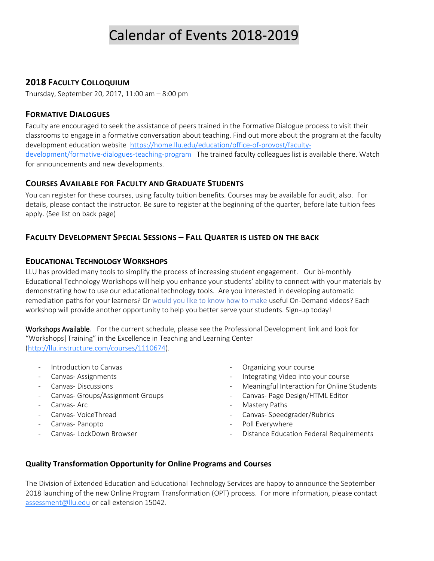## Calendar of Events 2018-2019

## **2018 FACULTY COLLOQUIUM**

Thursday, September 20, 2017, 11:00 am – 8:00 pm

### **FORMATIVE DIALOGUES**

Faculty are encouraged to seek the assistance of peers trained in the Formative Dialogue process to visit their classrooms to engage in a formative conversation about teaching. Find out more about the program at the faculty development education website [https://home.llu.edu/education/office-of-provost/faculty](https://home.llu.edu/education/office-of-provost/faculty-development/formative-dialogues-teaching-program)[development/formative-dialogues-teaching-program](https://home.llu.edu/education/office-of-provost/faculty-development/formative-dialogues-teaching-program) The trained faculty colleagues list is available there. Watch for announcements and new developments.

## **COURSES AVAILABLE FOR FACULTY AND GRADUATE STUDENTS**

You can register for these courses, using faculty tuition benefits. Courses may be available for audit, also. For details, please contact the instructor. Be sure to register at the beginning of the quarter, before late tuition fees apply. (See list on back page)

## **FACULTY DEVELOPMENT SPECIAL SESSIONS – FALL QUARTER IS LISTED ON THE BACK**

## **EDUCATIONAL TECHNOLOGY WORKSHOPS**

LLU has provided many tools to simplify the process of increasing student engagement. Our bi-monthly Educational Technology Workshops will help you enhance your students' ability to connect with your materials by demonstrating how to use our educational technology tools. Are you interested in developing automatic remediation paths for your learners? Or would you like to know how to make useful On-Demand videos? Each workshop will provide another opportunity to help you better serve your students. Sign-up today!

Workshops Available. For the current schedule, please see the Professional Development link and look for "Workshops|Training" in the Excellence in Teaching and Learning Center [\(http://llu.instructure.com/courses/1110674\)](http://llu.instructure.com/courses/1110674).

- Introduction to Canvas
- Canvas- Assignments
- Canvas- Discussions
- Canvas- Groups/Assignment Groups
- Canvas- Arc
- Canvas- VoiceThread
- Canvas- Panopto
- Canvas- LockDown Browser
- Organizing your course
- Integrating Video into your course
- Meaningful Interaction for Online Students
- Canvas- Page Design/HTML Editor
- Mastery Paths
- Canvas- Speedgrader/Rubrics
- Poll Everywhere
- Distance Education Federal Requirements

### **Quality Transformation Opportunity for Online Programs and Courses**

The Division of Extended Education and Educational Technology Services are happy to announce the September 2018 launching of the new Online Program Transformation (OPT) process. For more information, please contact [assessment@llu.edu](mailto:assessment@llu.edu) or call extension 15042.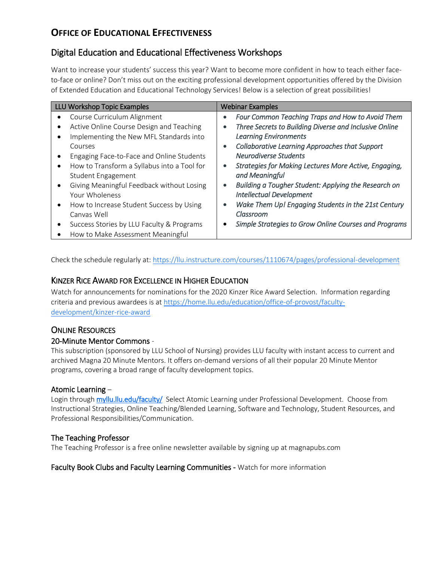## **OFFICE OF EDUCATIONAL EFFECTIVENESS**

## Digital Education and Educational Effectiveness Workshops

Want to increase your students' success this year? Want to become more confident in how to teach either faceto-face or online? Don't miss out on the exciting professional development opportunities offered by the Division of Extended Education and Educational Technology Services! Below is a selection of great possibilities!

| <b>LLU Workshop Topic Examples</b> |                                             | <b>Webinar Examples</b> |                                                              |
|------------------------------------|---------------------------------------------|-------------------------|--------------------------------------------------------------|
| ٠                                  | Course Curriculum Alignment                 |                         | Four Common Teaching Traps and How to Avoid Them             |
| ٠                                  | Active Online Course Design and Teaching    | $\bullet$               | Three Secrets to Building Diverse and Inclusive Online       |
| ٠                                  | Implementing the New MFL Standards into     |                         | <b>Learning Environments</b>                                 |
|                                    | Courses                                     |                         | Collaborative Learning Approaches that Support               |
| $\bullet$                          | Engaging Face-to-Face and Online Students   |                         | <b>Neurodiverse Students</b>                                 |
| $\bullet$                          | How to Transform a Syllabus into a Tool for | $\bullet$               | <b>Strategies for Making Lectures More Active, Engaging,</b> |
|                                    | <b>Student Engagement</b>                   |                         | and Meaningful                                               |
| $\bullet$                          | Giving Meaningful Feedback without Losing   | $\bullet$               | Building a Tougher Student: Applying the Research on         |
|                                    | Your Wholeness                              |                         | <b>Intellectual Development</b>                              |
| $\bullet$                          | How to Increase Student Success by Using    |                         | Wake Them Up! Engaging Students in the 21st Century          |
|                                    | Canvas Well                                 |                         | Classroom                                                    |
| ٠                                  | Success Stories by LLU Faculty & Programs   |                         | Simple Strategies to Grow Online Courses and Programs        |
| ٠                                  | How to Make Assessment Meaningful           |                         |                                                              |

Check the schedule regularly at[: https://llu.instructure.com/courses/1110674/pages/professional-development](https://llu.instructure.com/courses/1110674/pages/professional-development)

## KINZER RICE AWARD FOR EXCELLENCE IN HIGHER EDUCATION

Watch for announcements for nominations for the 2020 Kinzer Rice Award Selection. Information regarding criteria and previous awardees is at [https://home.llu.edu/education/office-of-provost/faculty](https://home.llu.edu/education/office-of-provost/faculty-development/kinzer-rice-award)[development/kinzer-rice-award](https://home.llu.edu/education/office-of-provost/faculty-development/kinzer-rice-award)

## **ONLINE RESOURCES**

### 20-Minute Mentor Commons *-*

This subscription (sponsored by LLU School of Nursing) provides LLU faculty with instant access to current and archived Magna 20 Minute Mentors. It offers on-demand versions of all their popular 20 Minute Mentor programs, covering a broad range of faculty development topics.

### Atomic Learning –

Login through [myllu.llu.edu/faculty/](https://myllu.llu.edu/faculty) Select Atomic Learning under Professional Development. Choose from Instructional Strategies, Online Teaching/Blended Learning, Software and Technology, Student Resources, and Professional Responsibilities/Communication.

## The Teaching Professor

The Teaching Professor is a free online newsletter available by signing up at magnapubs.com

Faculty Book Clubs and Faculty Learning Communities - Watch for more information